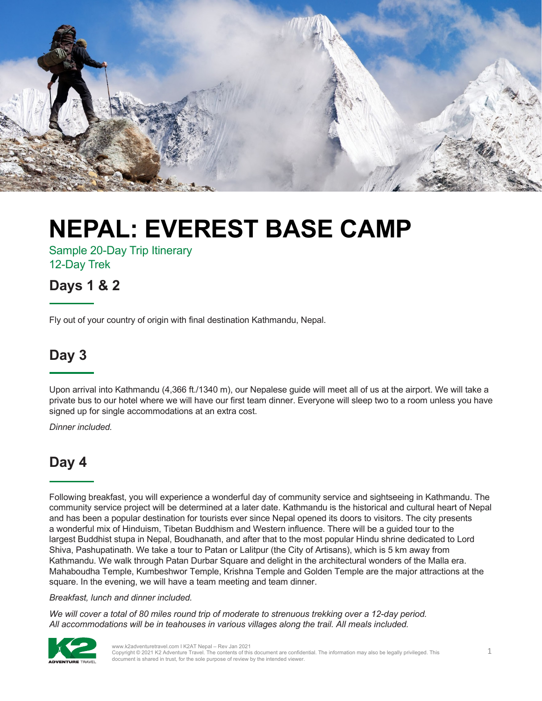

Sample 20-Day Trip Itinerary 12-Day Trek

#### **Days 1 & 2**

Fly out of your country of origin with final destination Kathmandu, Nepal.

#### **Day 3**

Upon arrival into Kathmandu (4,366 ft./1340 m), our Nepalese guide will meet all of us at the airport. We will take a private bus to our hotel where we will have our first team dinner. Everyone will sleep two to a room unless you have signed up for single accommodations at an extra cost.

*Dinner included.*

#### **Day 4**

Following breakfast, you will experience a wonderful day of community service and sightseeing in Kathmandu. The community service project will be determined at a later date. Kathmandu is the historical and cultural heart of Nepal and has been a popular destination for tourists ever since Nepal opened its doors to visitors. The city presents a wonderful mix of Hinduism, Tibetan Buddhism and Western influence. There will be a guided tour to the largest Buddhist stupa in Nepal, Boudhanath, and after that to the most popular Hindu shrine dedicated to Lord Shiva, Pashupatinath. We take a tour to Patan or Lalitpur (the City of Artisans), which is 5 km away from Kathmandu. We walk through Patan Durbar Square and delight in the architectural wonders of the Malla era. Mahaboudha Temple, Kumbeshwor Temple, Krishna Temple and Golden Temple are the major attractions at the square. In the evening, we will have a team meeting and team dinner.

#### *Breakfast, lunch and dinner included.*

*We will cover a total of 80 miles round trip of moderate to strenuous trekking over a 12-day period. All accommodations will be in teahouses in various villages along the trail. All meals included.*

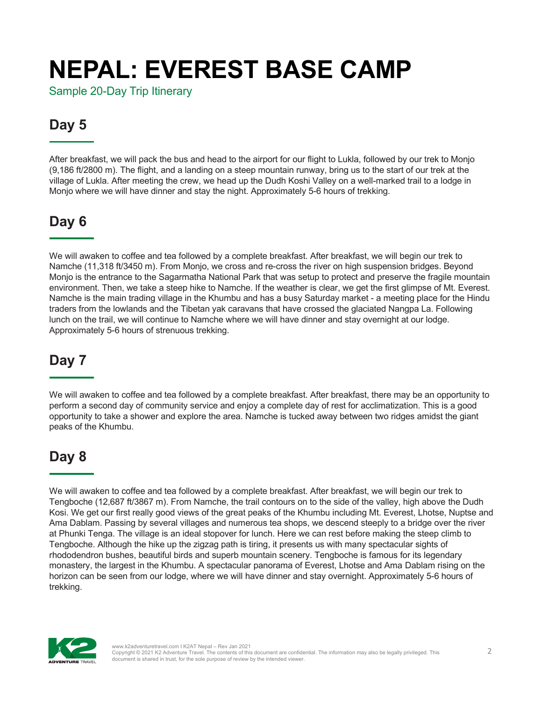Sample 20-Day Trip Itinerary

### **Day 5**

After breakfast, we will pack the bus and head to the airport for our flight to Lukla, followed by our trek to Monjo (9,186 ft/2800 m). The flight, and a landing on a steep mountain runway, bring us to the start of our trek at the village of Lukla. After meeting the crew, we head up the Dudh Koshi Valley on a well-marked trail to a lodge in Monjo where we will have dinner and stay the night. Approximately 5-6 hours of trekking.

### **Day 6**

We will awaken to coffee and tea followed by a complete breakfast. After breakfast, we will begin our trek to Namche (11,318 ft/3450 m). From Monjo, we cross and re-cross the river on high suspension bridges. Beyond Monjo is the entrance to the Sagarmatha National Park that was setup to protect and preserve the fragile mountain environment. Then, we take a steep hike to Namche. If the weather is clear, we get the first glimpse of Mt. Everest. Namche is the main trading village in the Khumbu and has a busy Saturday market - a meeting place for the Hindu traders from the lowlands and the Tibetan yak caravans that have crossed the glaciated Nangpa La. Following lunch on the trail, we will continue to Namche where we will have dinner and stay overnight at our lodge. Approximately 5-6 hours of strenuous trekking.

### **Day 7**

We will awaken to coffee and tea followed by a complete breakfast. After breakfast, there may be an opportunity to perform a second day of community service and enjoy a complete day of rest for acclimatization. This is a good opportunity to take a shower and explore the area. Namche is tucked away between two ridges amidst the giant peaks of the Khumbu.

### **Day 8**

We will awaken to coffee and tea followed by a complete breakfast. After breakfast, we will begin our trek to Tengboche (12,687 ft/3867 m). From Namche, the trail contours on to the side of the valley, high above the Dudh Kosi. We get our first really good views of the great peaks of the Khumbu including Mt. Everest, Lhotse, Nuptse and Ama Dablam. Passing by several villages and numerous tea shops, we descend steeply to a bridge over the river at Phunki Tenga. The village is an ideal stopover for lunch. Here we can rest before making the steep climb to Tengboche. Although the hike up the zigzag path is tiring, it presents us with many spectacular sights of rhododendron bushes, beautiful birds and superb mountain scenery. Tengboche is famous for its legendary monastery, the largest in the Khumbu. A spectacular panorama of Everest, Lhotse and Ama Dablam rising on the horizon can be seen from our lodge, where we will have dinner and stay overnight. Approximately 5-6 hours of trekking.

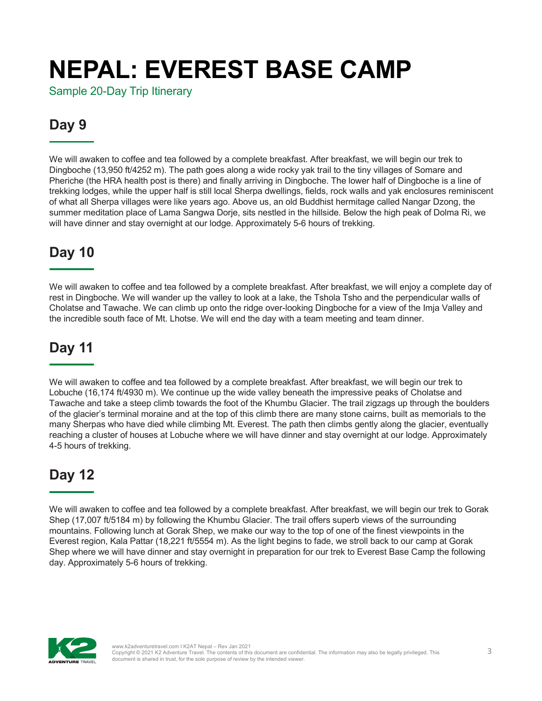Sample 20-Day Trip Itinerary

### **Day 9**

We will awaken to coffee and tea followed by a complete breakfast. After breakfast, we will begin our trek to Dingboche (13,950 ft/4252 m). The path goes along a wide rocky yak trail to the tiny villages of Somare and Pheriche (the HRA health post is there) and finally arriving in Dingboche. The lower half of Dingboche is a line of trekking lodges, while the upper half is still local Sherpa dwellings, fields, rock walls and yak enclosures reminiscent of what all Sherpa villages were like years ago. Above us, an old Buddhist hermitage called Nangar Dzong, the summer meditation place of Lama Sangwa Dorje, sits nestled in the hillside. Below the high peak of Dolma Ri, we will have dinner and stay overnight at our lodge. Approximately 5-6 hours of trekking.

### **Day 10**

We will awaken to coffee and tea followed by a complete breakfast. After breakfast, we will enjoy a complete day of rest in Dingboche. We will wander up the valley to look at a lake, the Tshola Tsho and the perpendicular walls of Cholatse and Tawache. We can climb up onto the ridge over-looking Dingboche for a view of the Imja Valley and the incredible south face of Mt. Lhotse. We will end the day with a team meeting and team dinner.

### **Day 11**

We will awaken to coffee and tea followed by a complete breakfast. After breakfast, we will begin our trek to Lobuche (16,174 ft/4930 m). We continue up the wide valley beneath the impressive peaks of Cholatse and Tawache and take a steep climb towards the foot of the Khumbu Glacier. The trail zigzags up through the boulders of the glacier's terminal moraine and at the top of this climb there are many stone cairns, built as memorials to the many Sherpas who have died while climbing Mt. Everest. The path then climbs gently along the glacier, eventually reaching a cluster of houses at Lobuche where we will have dinner and stay overnight at our lodge. Approximately 4-5 hours of trekking.

### **Day 12**

We will awaken to coffee and tea followed by a complete breakfast. After breakfast, we will begin our trek to Gorak Shep (17,007 ft/5184 m) by following the Khumbu Glacier. The trail offers superb views of the surrounding mountains. Following lunch at Gorak Shep, we make our way to the top of one of the finest viewpoints in the Everest region, Kala Pattar (18,221 ft/5554 m). As the light begins to fade, we stroll back to our camp at Gorak Shep where we will have dinner and stay overnight in preparation for our trek to Everest Base Camp the following day. Approximately 5-6 hours of trekking.

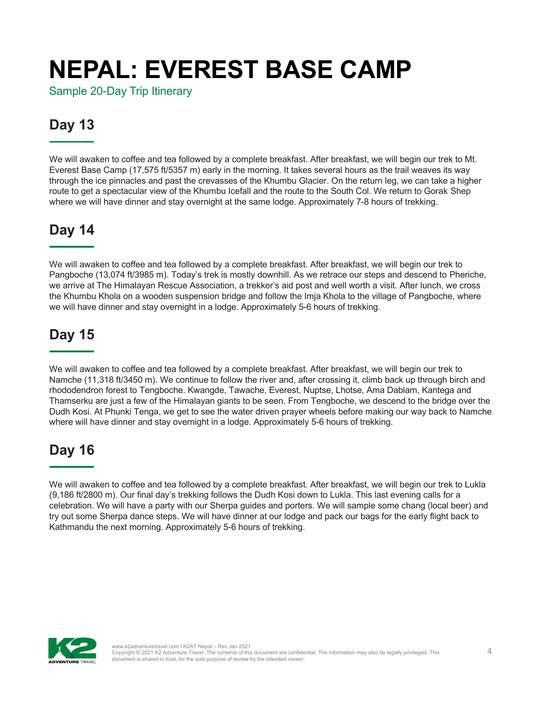Sample 20-Day Trip Itinerary

### **Day 13**

We will awaken to coffee and tea followed by a complete breakfast. After breakfast, we will begin our trek to Mt. Everest Base Camp (17,575 ft/5357 m) early in the morning. It takes several hours as the trail weaves its way through the ice pinnacles and past the crevasses of the Khumbu Glacier. On the return leg, we can take a higher route to get a spectacular view of the Khumbu Icefall and the route to the South Col. We return to Gorak Shep where we will have dinner and stay overnight at the same lodge. Approximately 7-8 hours of trekking.

### **Day 14**

We will awaken to coffee and tea followed by a complete breakfast. After breakfast, we will begin our trek to Pangboche (13,074 ft/3985 m). Today's trek is mostly downhill. As we retrace our steps and descend to Pheriche, we arrive at The Himalayan Rescue Association, a trekker's aid post and well worth a visit. After lunch, we cross the Khumbu Khola on a wooden suspension bridge and follow the Imja Khola to the village of Pangboche, where we will have dinner and stay overnight in a lodge. Approximately 5-6 hours of trekking.

### **Day 15**

We will awaken to coffee and tea followed by a complete breakfast. After breakfast, we will begin our trek to Namche (11,318 ft/3450 m). We continue to follow the river and, after crossing it, climb back up through birch and rhododendron forest to Tengboche. Kwangde, Tawache, Everest, Nuptse, Lhotse, Ama Dablam, Kantega and Thamserku are just a few of the Himalayan giants to be seen. From Tengboche, we descend to the bridge over the Dudh Kosi. At Phunki Tenga, we get to see the water driven prayer wheels before making our way back to Namche where will have dinner and stay overnight in a lodge. Approximately 5-6 hours of trekking.

### **Day 16**

We will awaken to coffee and tea followed by a complete breakfast. After breakfast, we will begin our trek to Lukla (9,186 ft/2800 m). Our final day's trekking follows the Dudh Kosi down to Lukla. This last evening calls for a celebration. We will have a party with our Sherpa guides and porters. We will sample some chang (local beer) and try out some Sherpa dance steps. We will have dinner at our lodge and pack our bags for the early flight back to Kathmandu the next morning. Approximately 5-6 hours of trekking.

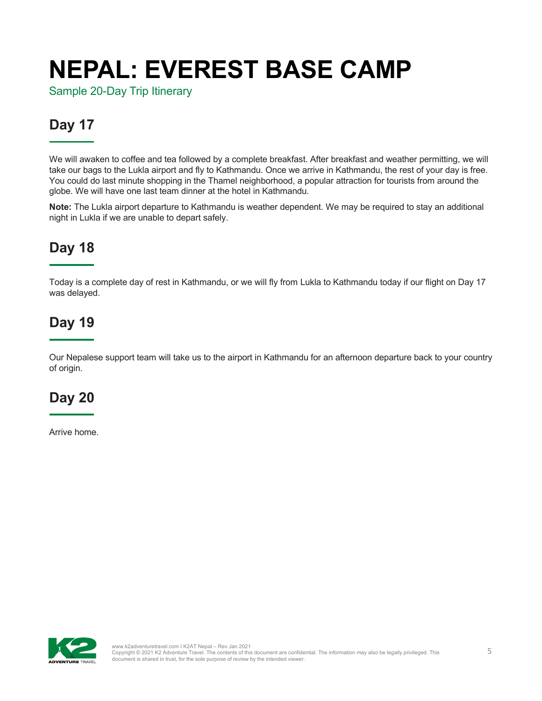Sample 20-Day Trip Itinerary

### **Day 17**

We will awaken to coffee and tea followed by a complete breakfast. After breakfast and weather permitting, we will take our bags to the Lukla airport and fly to Kathmandu. Once we arrive in Kathmandu, the rest of your day is free. You could do last minute shopping in the Thamel neighborhood, a popular attraction for tourists from around the globe. We will have one last team dinner at the hotel in Kathmandu.

**Note:** The Lukla airport departure to Kathmandu is weather dependent. We may be required to stay an additional night in Lukla if we are unable to depart safely.

### **Day 18**

Today is a complete day of rest in Kathmandu, or we will fly from Lukla to Kathmandu today if our flight on Day 17 was delayed.

### **Day 19**

Our Nepalese support team will take us to the airport in Kathmandu for an afternoon departure back to your country of origin.

### **Day 20**

Arrive home.